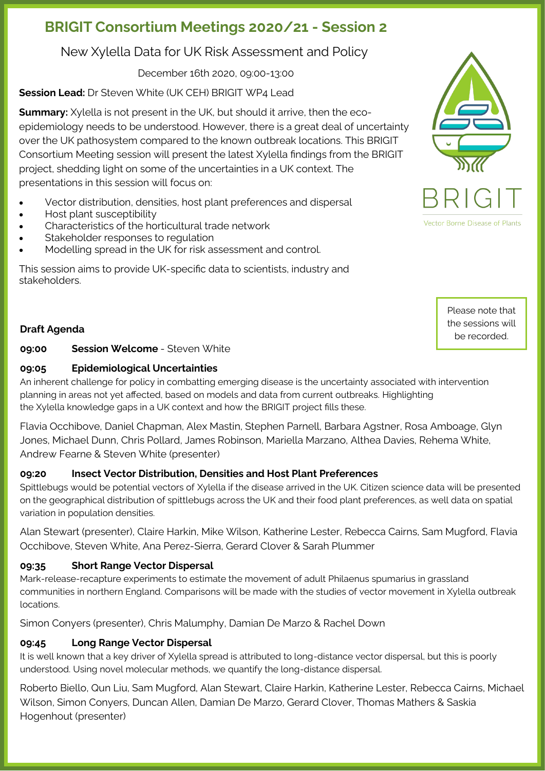# **BRIGIT Consortium Meetings 2020/21 - Session 2**

New Xylella Data for UK Risk Assessment and Policy

December 16th 2020, 09:00-13:00

**Session Lead:** Dr Steven White (UK CEH) BRIGIT WP4 Lead

**Summary:** Xylella is not present in the UK, but should it arrive, then the ecoepidemiology needs to be understood. However, there is a great deal of uncertainty over the UK pathosystem compared to the known outbreak locations. This BRIGIT Consortium Meeting session will present the latest Xylella findings from the BRIGIT project, shedding light on some of the uncertainties in a UK context. The presentations in this session will focus on:

- Vector distribution, densities, host plant preferences and dispersal
- Host plant susceptibility
- Characteristics of the horticultural trade network
- Stakeholder responses to regulation
- Modelling spread in the UK for risk assessment and control.

This session aims to provide UK-specific data to scientists, industry and stakeholders.

# **Draft Agenda**

**09:00 Session Welcome** - Steven White

### **09:05 Epidemiological Uncertainties**

An inherent challenge for policy in combatting emerging disease is the uncertainty associated with intervention planning in areas not yet affected, based on models and data from current outbreaks. Highlighting the Xylella knowledge gaps in a UK context and how the BRIGIT project fills these.

Flavia Occhibove, Daniel Chapman, Alex Mastin, Stephen Parnell, Barbara Agstner, Rosa Amboage, Glyn Jones, Michael Dunn, Chris Pollard, James Robinson, Mariella Marzano, Althea Davies, Rehema White, Andrew Fearne & Steven White (presenter)

### **09:20 Insect Vector Distribution, Densities and Host Plant Preferences**

Spittlebugs would be potential vectors of Xylella if the disease arrived in the UK. Citizen science data will be presented on the geographical distribution of spittlebugs across the UK and their food plant preferences, as well data on spatial variation in population densities.

Alan Stewart (presenter), Claire Harkin, Mike Wilson, Katherine Lester, Rebecca Cairns, Sam Mugford, Flavia Occhibove, Steven White, Ana Perez-Sierra, Gerard Clover & Sarah Plummer

### **09:35 Short Range Vector Dispersal**

Mark-release-recapture experiments to estimate the movement of adult Philaenus spumarius in grassland communities in northern England. Comparisons will be made with the studies of vector movement in Xylella outbreak locations.

Simon Conyers (presenter), Chris Malumphy, Damian De Marzo & Rachel Down

## **09:45 Long Range Vector Dispersal**

It is well known that a key driver of Xylella spread is attributed to long-distance vector dispersal, but this is poorly understood. Using novel molecular methods, we quantify the long-distance dispersal.

Roberto Biello, Qun Liu, Sam Mugford, Alan Stewart, Claire Harkin, Katherine Lester, Rebecca Cairns, Michael Wilson, Simon Conyers, Duncan Allen, Damian De Marzo, Gerard Clover, Thomas Mathers & Saskia Hogenhout (presenter)



Please note that the sessions will be recorded.